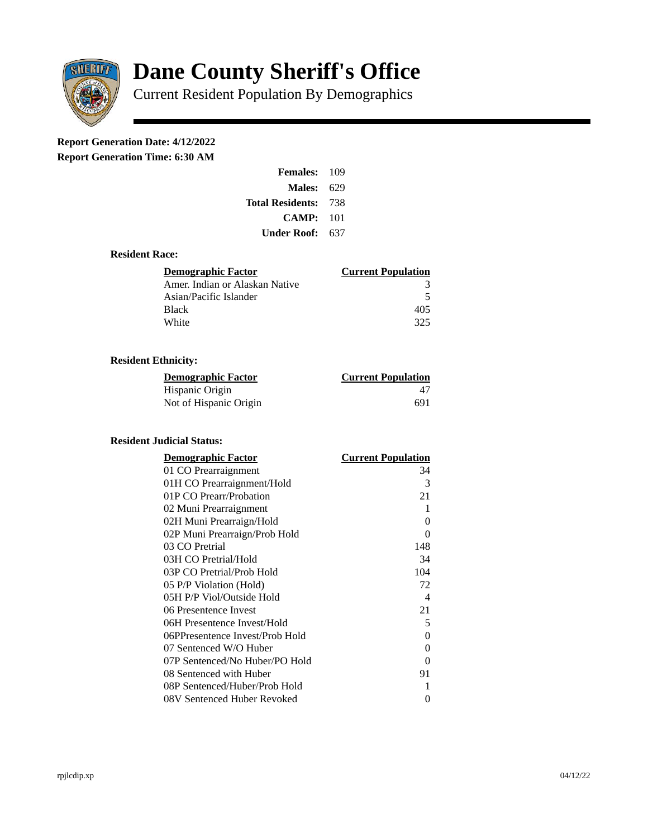

# **Dane County Sheriff's Office**

Current Resident Population By Demographics

# **Report Generation Date: 4/12/2022**

**Report Generation Time: 6:30 AM** 

| <b>Females: 109</b>         |     |
|-----------------------------|-----|
| <b>Males: 629</b>           |     |
| <b>Total Residents: 738</b> |     |
| CAMP:                       | 101 |
| Under Roof:                 | 637 |

### **Resident Race:**

| Demographic Factor             | <b>Current Population</b> |
|--------------------------------|---------------------------|
| Amer. Indian or Alaskan Native | 3                         |
| Asian/Pacific Islander         | 5                         |
| <b>Black</b>                   | 405                       |
| White                          | 325                       |

# **Resident Ethnicity:**

| <u>Demographic Factor</u> | <b>Current Population</b> |
|---------------------------|---------------------------|
| Hispanic Origin           | 47                        |
| Not of Hispanic Origin    | 691                       |

#### **Resident Judicial Status:**

| <b>Demographic Factor</b>       | <b>Current Population</b> |
|---------------------------------|---------------------------|
| 01 CO Prearraignment            | 34                        |
| 01H CO Prearraignment/Hold      | 3                         |
| 01P CO Prearr/Probation         | 21                        |
| 02 Muni Prearraignment          | 1                         |
| 02H Muni Prearraign/Hold        | 0                         |
| 02P Muni Prearraign/Prob Hold   | 0                         |
| 03 CO Pretrial                  | 148                       |
| 03H CO Pretrial/Hold            | 34                        |
| 03P CO Pretrial/Prob Hold       | 104                       |
| 05 P/P Violation (Hold)         | 72                        |
| 05H P/P Viol/Outside Hold       | $\overline{\mathcal{A}}$  |
| 06 Presentence Invest           | 21                        |
| 06H Presentence Invest/Hold     | 5                         |
| 06PPresentence Invest/Prob Hold | 0                         |
| 07 Sentenced W/O Huber          | 0                         |
| 07P Sentenced/No Huber/PO Hold  | 0                         |
| 08 Sentenced with Huber         | 91                        |
| 08P Sentenced/Huber/Prob Hold   | 1                         |
| 08V Sentenced Huber Revoked     | 0                         |